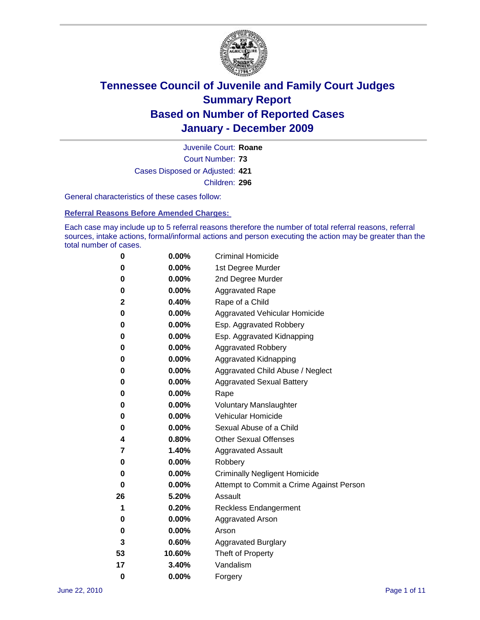

Court Number: **73** Juvenile Court: **Roane** Cases Disposed or Adjusted: **421** Children: **296**

General characteristics of these cases follow:

**Referral Reasons Before Amended Charges:** 

Each case may include up to 5 referral reasons therefore the number of total referral reasons, referral sources, intake actions, formal/informal actions and person executing the action may be greater than the total number of cases.

| 0  | 0.00%  | <b>Criminal Homicide</b>                 |
|----|--------|------------------------------------------|
| 0  | 0.00%  | 1st Degree Murder                        |
| 0  | 0.00%  | 2nd Degree Murder                        |
| 0  | 0.00%  | <b>Aggravated Rape</b>                   |
| 2  | 0.40%  | Rape of a Child                          |
| 0  | 0.00%  | Aggravated Vehicular Homicide            |
| 0  | 0.00%  | Esp. Aggravated Robbery                  |
| 0  | 0.00%  | Esp. Aggravated Kidnapping               |
| 0  | 0.00%  | <b>Aggravated Robbery</b>                |
| 0  | 0.00%  | Aggravated Kidnapping                    |
| 0  | 0.00%  | Aggravated Child Abuse / Neglect         |
| 0  | 0.00%  | <b>Aggravated Sexual Battery</b>         |
| 0  | 0.00%  | Rape                                     |
| 0  | 0.00%  | <b>Voluntary Manslaughter</b>            |
| 0  | 0.00%  | Vehicular Homicide                       |
| 0  | 0.00%  | Sexual Abuse of a Child                  |
| 4  | 0.80%  | <b>Other Sexual Offenses</b>             |
| 7  | 1.40%  | <b>Aggravated Assault</b>                |
| 0  | 0.00%  | Robbery                                  |
| 0  | 0.00%  | <b>Criminally Negligent Homicide</b>     |
| 0  | 0.00%  | Attempt to Commit a Crime Against Person |
| 26 | 5.20%  | Assault                                  |
| 1  | 0.20%  | <b>Reckless Endangerment</b>             |
| 0  | 0.00%  | <b>Aggravated Arson</b>                  |
| 0  | 0.00%  | Arson                                    |
| 3  | 0.60%  | <b>Aggravated Burglary</b>               |
| 53 | 10.60% | Theft of Property                        |
| 17 | 3.40%  | Vandalism                                |
| 0  | 0.00%  | Forgery                                  |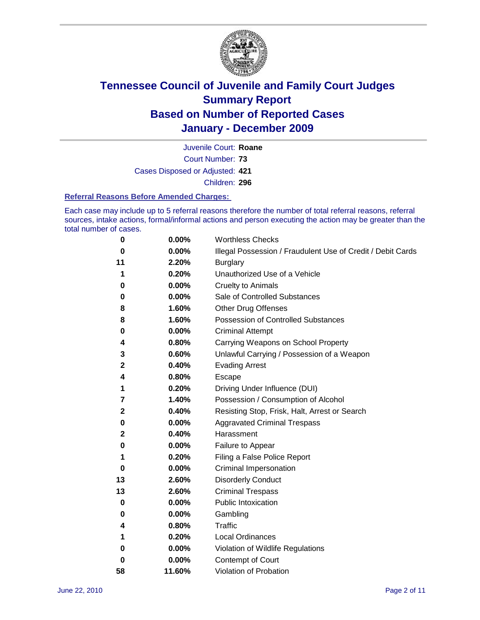

Juvenile Court: **Roane**

Court Number: **73**

Cases Disposed or Adjusted: **421**

Children: **296**

#### **Referral Reasons Before Amended Charges:**

Each case may include up to 5 referral reasons therefore the number of total referral reasons, referral sources, intake actions, formal/informal actions and person executing the action may be greater than the total number of cases.

| 0  | 0.00%  | <b>Worthless Checks</b>                                     |
|----|--------|-------------------------------------------------------------|
| 0  | 0.00%  | Illegal Possession / Fraudulent Use of Credit / Debit Cards |
| 11 | 2.20%  | <b>Burglary</b>                                             |
| 1  | 0.20%  | Unauthorized Use of a Vehicle                               |
| 0  | 0.00%  | <b>Cruelty to Animals</b>                                   |
| 0  | 0.00%  | Sale of Controlled Substances                               |
| 8  | 1.60%  | <b>Other Drug Offenses</b>                                  |
| 8  | 1.60%  | Possession of Controlled Substances                         |
| 0  | 0.00%  | <b>Criminal Attempt</b>                                     |
| 4  | 0.80%  | Carrying Weapons on School Property                         |
| 3  | 0.60%  | Unlawful Carrying / Possession of a Weapon                  |
| 2  | 0.40%  | <b>Evading Arrest</b>                                       |
| 4  | 0.80%  | Escape                                                      |
| 1  | 0.20%  | Driving Under Influence (DUI)                               |
| 7  | 1.40%  | Possession / Consumption of Alcohol                         |
| 2  | 0.40%  | Resisting Stop, Frisk, Halt, Arrest or Search               |
| 0  | 0.00%  | <b>Aggravated Criminal Trespass</b>                         |
| 2  | 0.40%  | Harassment                                                  |
| 0  | 0.00%  | Failure to Appear                                           |
| 1  | 0.20%  | Filing a False Police Report                                |
| 0  | 0.00%  | Criminal Impersonation                                      |
| 13 | 2.60%  | <b>Disorderly Conduct</b>                                   |
| 13 | 2.60%  | <b>Criminal Trespass</b>                                    |
| 0  | 0.00%  | <b>Public Intoxication</b>                                  |
| 0  | 0.00%  | Gambling                                                    |
| 4  | 0.80%  | Traffic                                                     |
| 1  | 0.20%  | <b>Local Ordinances</b>                                     |
| 0  | 0.00%  | Violation of Wildlife Regulations                           |
| 0  | 0.00%  | Contempt of Court                                           |
| 58 | 11.60% | Violation of Probation                                      |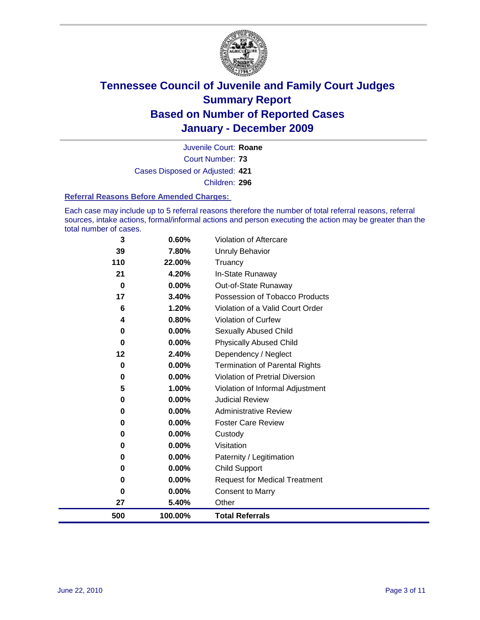

Court Number: **73** Juvenile Court: **Roane** Cases Disposed or Adjusted: **421** Children: **296**

#### **Referral Reasons Before Amended Charges:**

Each case may include up to 5 referral reasons therefore the number of total referral reasons, referral sources, intake actions, formal/informal actions and person executing the action may be greater than the total number of cases.

| 3           | 0.60%    | Violation of Aftercare                 |
|-------------|----------|----------------------------------------|
| 39          | 7.80%    | <b>Unruly Behavior</b>                 |
| 110         | 22.00%   | Truancy                                |
| 21          | 4.20%    | In-State Runaway                       |
| $\bf{0}$    | 0.00%    | Out-of-State Runaway                   |
| 17          | 3.40%    | Possession of Tobacco Products         |
| 6           | 1.20%    | Violation of a Valid Court Order       |
| 4           | 0.80%    | <b>Violation of Curfew</b>             |
| 0           | $0.00\%$ | <b>Sexually Abused Child</b>           |
| 0           | 0.00%    | <b>Physically Abused Child</b>         |
| 12          | 2.40%    | Dependency / Neglect                   |
| $\mathbf 0$ | $0.00\%$ | Termination of Parental Rights         |
| 0           | $0.00\%$ | <b>Violation of Pretrial Diversion</b> |
| 5           | 1.00%    | Violation of Informal Adjustment       |
| 0           | $0.00\%$ | <b>Judicial Review</b>                 |
| 0           | $0.00\%$ | <b>Administrative Review</b>           |
| 0           | 0.00%    | <b>Foster Care Review</b>              |
| 0           | 0.00%    | Custody                                |
| 0           | 0.00%    | Visitation                             |
| 0           | 0.00%    | Paternity / Legitimation               |
| 0           | 0.00%    | <b>Child Support</b>                   |
| 0           | $0.00\%$ | <b>Request for Medical Treatment</b>   |
| 0           | 0.00%    | <b>Consent to Marry</b>                |
| 27          | 5.40%    | Other                                  |
| 500         | 100.00%  | <b>Total Referrals</b>                 |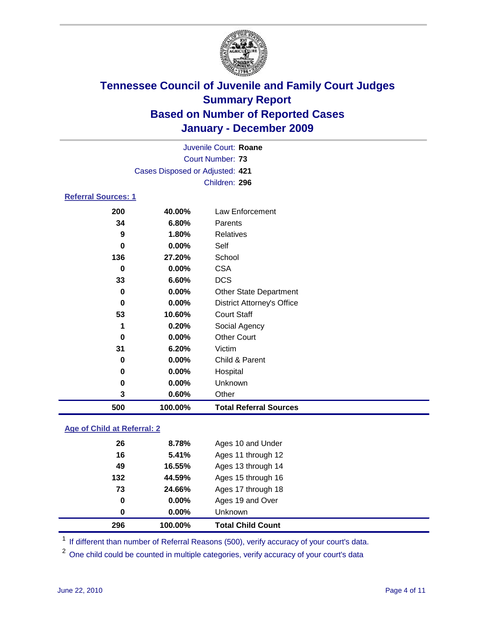

|                            | Juvenile Court: Roane           |                                   |  |  |
|----------------------------|---------------------------------|-----------------------------------|--|--|
|                            |                                 | Court Number: 73                  |  |  |
|                            | Cases Disposed or Adjusted: 421 |                                   |  |  |
|                            |                                 | Children: 296                     |  |  |
| <b>Referral Sources: 1</b> |                                 |                                   |  |  |
| 200                        | 40.00%                          | Law Enforcement                   |  |  |
| 34                         | 6.80%                           | Parents                           |  |  |
| 9                          | 1.80%                           | Relatives                         |  |  |
| $\bf{0}$                   | $0.00\%$                        | Self                              |  |  |
| 136                        | 27.20%                          | School                            |  |  |
| 0                          | $0.00\%$                        | <b>CSA</b>                        |  |  |
| 33                         | 6.60%                           | <b>DCS</b>                        |  |  |
| 0                          | $0.00\%$                        | <b>Other State Department</b>     |  |  |
| 0                          | $0.00\%$                        | <b>District Attorney's Office</b> |  |  |
| 53                         | 10.60%                          | <b>Court Staff</b>                |  |  |
| 1                          | 0.20%                           | Social Agency                     |  |  |
| 0                          | $0.00\%$                        | <b>Other Court</b>                |  |  |
| 31                         | 6.20%                           | Victim                            |  |  |
| 0                          | $0.00\%$                        | Child & Parent                    |  |  |
| 0                          | $0.00\%$                        | Hospital                          |  |  |

 **0.00%** Unknown **0.60%** Other **100.00% Total Referral Sources**

### **Age of Child at Referral: 2**

| 296 | 100.00% | <b>Total Child Count</b> |
|-----|---------|--------------------------|
| 0   | 0.00%   | <b>Unknown</b>           |
| 0   | 0.00%   | Ages 19 and Over         |
| 73  | 24.66%  | Ages 17 through 18       |
| 132 | 44.59%  | Ages 15 through 16       |
| 49  | 16.55%  | Ages 13 through 14       |
| 16  | 5.41%   | Ages 11 through 12       |
| 26  | 8.78%   | Ages 10 and Under        |
|     |         |                          |

<sup>1</sup> If different than number of Referral Reasons (500), verify accuracy of your court's data.

<sup>2</sup> One child could be counted in multiple categories, verify accuracy of your court's data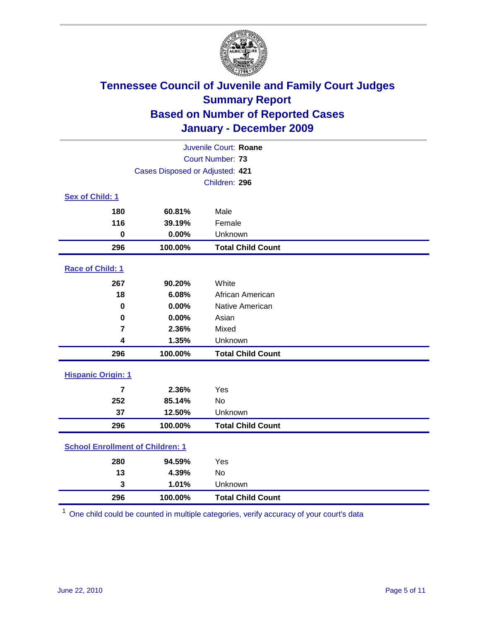

| Juvenile Court: Roane                   |                                 |                          |  |  |  |
|-----------------------------------------|---------------------------------|--------------------------|--|--|--|
| <b>Court Number: 73</b>                 |                                 |                          |  |  |  |
|                                         | Cases Disposed or Adjusted: 421 |                          |  |  |  |
|                                         |                                 | Children: 296            |  |  |  |
| Sex of Child: 1                         |                                 |                          |  |  |  |
| 180                                     | 60.81%                          | Male                     |  |  |  |
| 116                                     | 39.19%                          | Female                   |  |  |  |
| $\mathbf 0$                             | 0.00%                           | Unknown                  |  |  |  |
| 296                                     | 100.00%                         | <b>Total Child Count</b> |  |  |  |
| Race of Child: 1                        |                                 |                          |  |  |  |
| 267                                     | 90.20%                          | White                    |  |  |  |
| 18                                      | 6.08%                           | African American         |  |  |  |
| $\mathbf 0$                             | 0.00%                           | Native American          |  |  |  |
| $\mathbf 0$                             | 0.00%                           | Asian                    |  |  |  |
| $\overline{\mathbf{r}}$                 | 2.36%                           | Mixed                    |  |  |  |
| 4                                       | 1.35%                           | Unknown                  |  |  |  |
| 296                                     | 100.00%                         | <b>Total Child Count</b> |  |  |  |
| <b>Hispanic Origin: 1</b>               |                                 |                          |  |  |  |
| $\overline{7}$                          | 2.36%                           | Yes                      |  |  |  |
| 252                                     | 85.14%                          | No                       |  |  |  |
| 37                                      | 12.50%                          | Unknown                  |  |  |  |
| 296                                     | 100.00%                         | <b>Total Child Count</b> |  |  |  |
| <b>School Enrollment of Children: 1</b> |                                 |                          |  |  |  |
| 280                                     | 94.59%                          | Yes                      |  |  |  |
| 13                                      | 4.39%                           | No                       |  |  |  |
| 3                                       | 1.01%                           | Unknown                  |  |  |  |
| 296                                     | 100.00%                         | <b>Total Child Count</b> |  |  |  |

One child could be counted in multiple categories, verify accuracy of your court's data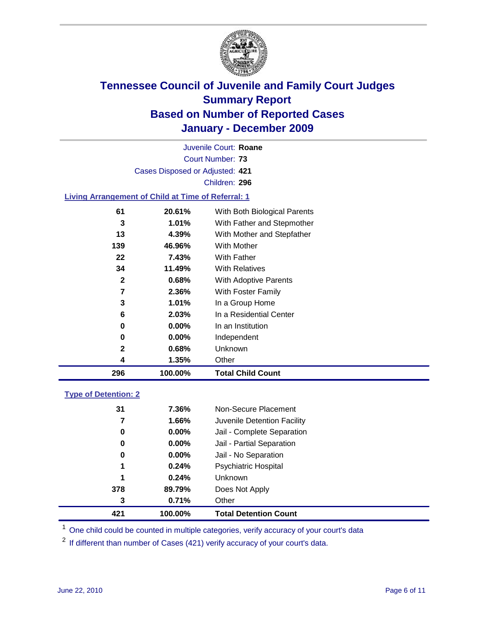

Court Number: **73** Juvenile Court: **Roane** Cases Disposed or Adjusted: **421** Children: **296 Living Arrangement of Child at Time of Referral: 1**

| 296          | 100.00%  | <b>Total Child Count</b>     |
|--------------|----------|------------------------------|
| 4            | 1.35%    | Other                        |
| 2            | 0.68%    | Unknown                      |
| 0            | $0.00\%$ | Independent                  |
| 0            | $0.00\%$ | In an Institution            |
| 6            | 2.03%    | In a Residential Center      |
| 3            | 1.01%    | In a Group Home              |
| 7            | 2.36%    | With Foster Family           |
| $\mathbf{2}$ | 0.68%    | With Adoptive Parents        |
| 34           | 11.49%   | <b>With Relatives</b>        |
| 22           | 7.43%    | With Father                  |
| 139          | 46.96%   | With Mother                  |
| 13           | 4.39%    | With Mother and Stepfather   |
| 3            | 1.01%    | With Father and Stepmother   |
| 61           | 20.61%   | With Both Biological Parents |

### **Type of Detention: 2**

| 421 | 100.00%  | <b>Total Detention Count</b> |  |
|-----|----------|------------------------------|--|
| 3   | 0.71%    | Other                        |  |
| 378 | 89.79%   | Does Not Apply               |  |
| 1   | 0.24%    | Unknown                      |  |
| 1   | 0.24%    | Psychiatric Hospital         |  |
| 0   | 0.00%    | Jail - No Separation         |  |
| 0   | $0.00\%$ | Jail - Partial Separation    |  |
| 0   | $0.00\%$ | Jail - Complete Separation   |  |
| 7   | 1.66%    | Juvenile Detention Facility  |  |
| 31  | 7.36%    | Non-Secure Placement         |  |
|     |          |                              |  |

<sup>1</sup> One child could be counted in multiple categories, verify accuracy of your court's data

<sup>2</sup> If different than number of Cases (421) verify accuracy of your court's data.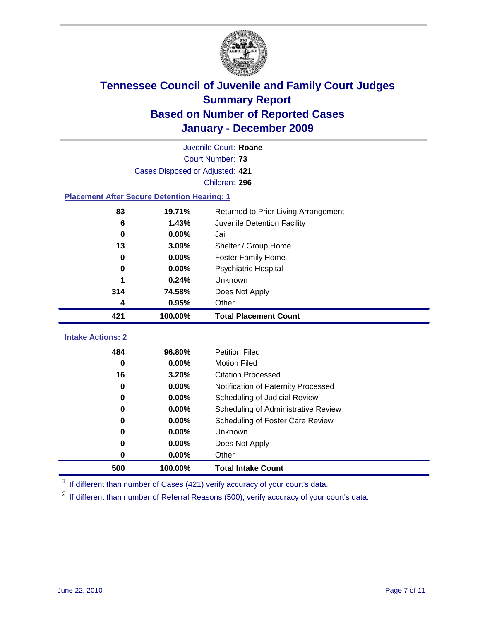

|                                                    | Juvenile Court: Roane           |                                      |  |  |  |
|----------------------------------------------------|---------------------------------|--------------------------------------|--|--|--|
|                                                    | Court Number: 73                |                                      |  |  |  |
|                                                    | Cases Disposed or Adjusted: 421 |                                      |  |  |  |
|                                                    |                                 | Children: 296                        |  |  |  |
| <b>Placement After Secure Detention Hearing: 1</b> |                                 |                                      |  |  |  |
| 83                                                 | 19.71%                          | Returned to Prior Living Arrangement |  |  |  |
| 6                                                  | 1.43%                           | Juvenile Detention Facility          |  |  |  |
| $\bf{0}$                                           | 0.00%                           | Jail                                 |  |  |  |
| 13                                                 | 3.09%                           | Shelter / Group Home                 |  |  |  |
| 0                                                  | 0.00%                           | Foster Family Home                   |  |  |  |
| 0                                                  | 0.00%                           | Psychiatric Hospital                 |  |  |  |
| 1                                                  | 0.24%                           | Unknown                              |  |  |  |
| 314                                                | 74.58%                          | Does Not Apply                       |  |  |  |
| 4                                                  | 0.95%                           | Other                                |  |  |  |
| 421                                                | 100.00%                         | <b>Total Placement Count</b>         |  |  |  |
| <b>Intake Actions: 2</b>                           |                                 |                                      |  |  |  |
| 484                                                | 96.80%                          | <b>Petition Filed</b>                |  |  |  |
| $\bf{0}$                                           | 0.00%                           | <b>Motion Filed</b>                  |  |  |  |
| 16                                                 | 3.20%                           | <b>Citation Processed</b>            |  |  |  |
| 0                                                  | 0.00%                           | Notification of Paternity Processed  |  |  |  |
| $\bf{0}$                                           | 0.00%                           | Scheduling of Judicial Review        |  |  |  |
| 0                                                  | 0.00%                           | Scheduling of Administrative Review  |  |  |  |
| 0                                                  | 0.00%                           | Scheduling of Foster Care Review     |  |  |  |
| 0                                                  | 0.00%                           | Unknown                              |  |  |  |
| 0                                                  | 0.00%                           | Does Not Apply                       |  |  |  |
| $\pmb{0}$                                          | 0.00%                           | Other                                |  |  |  |
| 500                                                | 100.00%                         | <b>Total Intake Count</b>            |  |  |  |

<sup>1</sup> If different than number of Cases (421) verify accuracy of your court's data.

<sup>2</sup> If different than number of Referral Reasons (500), verify accuracy of your court's data.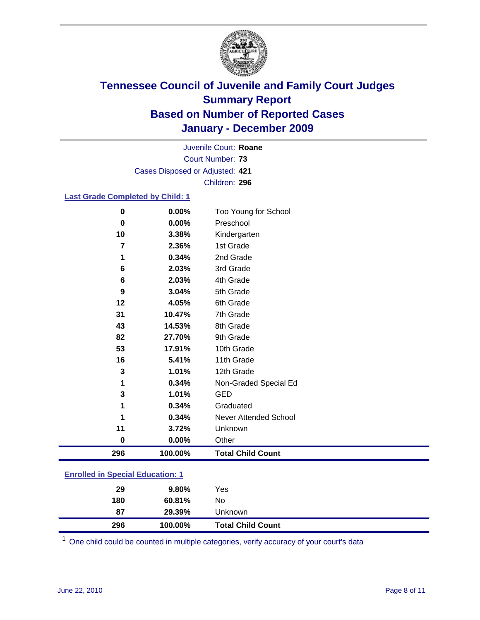

Court Number: **73** Juvenile Court: **Roane** Cases Disposed or Adjusted: **421** Children: **296**

### **Last Grade Completed by Child: 1**

| 296         | 100.00%  | <b>Total Child Count</b> |
|-------------|----------|--------------------------|
| 0           | $0.00\%$ | Other                    |
| 11          | 3.72%    | Unknown                  |
| 1           | 0.34%    | Never Attended School    |
|             | 0.34%    | Graduated                |
| 3           | 1.01%    | <b>GED</b>               |
|             | 0.34%    | Non-Graded Special Ed    |
| 3           | 1.01%    | 12th Grade               |
| 16          | 5.41%    | 11th Grade               |
| 53          | 17.91%   | 10th Grade               |
| 82          | 27.70%   | 9th Grade                |
| 43          | 14.53%   | 8th Grade                |
| 31          | 10.47%   | 7th Grade                |
| 12          | 4.05%    | 6th Grade                |
| 9           | 3.04%    | 5th Grade                |
| 6           | 2.03%    | 4th Grade                |
| 6           | 2.03%    | 3rd Grade                |
| 1           | 0.34%    | 2nd Grade                |
| 7           | 2.36%    | 1st Grade                |
| 10          | 3.38%    | Kindergarten             |
| $\mathbf 0$ | 0.00%    | Preschool                |
| 0           | 0.00%    | Too Young for School     |

### **Enrolled in Special Education: 1**

| 296 | 100.00%  | <b>Total Child Count</b> |  |
|-----|----------|--------------------------|--|
| 87  | 29.39%   | Unknown                  |  |
| 180 | 60.81%   | No                       |  |
| 29  | $9.80\%$ | Yes                      |  |
|     |          |                          |  |

One child could be counted in multiple categories, verify accuracy of your court's data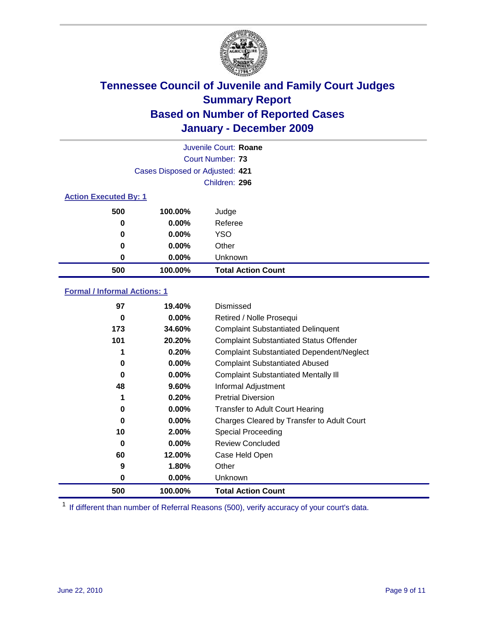

|                              | Juvenile Court: Roane           |                           |  |
|------------------------------|---------------------------------|---------------------------|--|
|                              |                                 | Court Number: 73          |  |
|                              | Cases Disposed or Adjusted: 421 |                           |  |
|                              |                                 | Children: 296             |  |
| <b>Action Executed By: 1</b> |                                 |                           |  |
| 500                          | 100.00%                         | Judge                     |  |
| 0                            | $0.00\%$                        | Referee                   |  |
| 0                            | $0.00\%$                        | <b>YSO</b>                |  |
| 0                            | 0.00%                           | Other                     |  |
| 0                            | 0.00%                           | Unknown                   |  |
| 500                          | 100.00%                         | <b>Total Action Count</b> |  |

### **Formal / Informal Actions: 1**

| 97  | 19.40%   | Dismissed                                        |
|-----|----------|--------------------------------------------------|
| 0   | $0.00\%$ | Retired / Nolle Prosequi                         |
| 173 | 34.60%   | <b>Complaint Substantiated Delinquent</b>        |
| 101 | 20.20%   | <b>Complaint Substantiated Status Offender</b>   |
| 1   | 0.20%    | <b>Complaint Substantiated Dependent/Neglect</b> |
| 0   | 0.00%    | <b>Complaint Substantiated Abused</b>            |
| 0   | $0.00\%$ | <b>Complaint Substantiated Mentally III</b>      |
| 48  | 9.60%    | Informal Adjustment                              |
| 1   | 0.20%    | <b>Pretrial Diversion</b>                        |
| 0   | $0.00\%$ | <b>Transfer to Adult Court Hearing</b>           |
| 0   | $0.00\%$ | Charges Cleared by Transfer to Adult Court       |
| 10  | 2.00%    | Special Proceeding                               |
| 0   | $0.00\%$ | <b>Review Concluded</b>                          |
| 60  | 12.00%   | Case Held Open                                   |
| 9   | 1.80%    | Other                                            |
| 0   | $0.00\%$ | <b>Unknown</b>                                   |
| 500 | 100.00%  | <b>Total Action Count</b>                        |

<sup>1</sup> If different than number of Referral Reasons (500), verify accuracy of your court's data.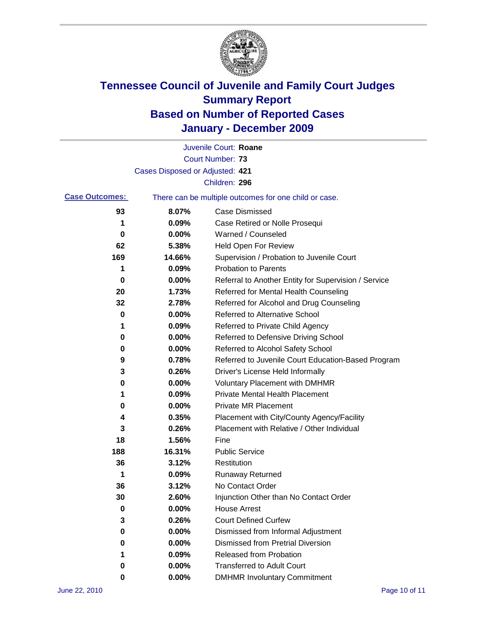

|                       |                                 | Juvenile Court: Roane                                 |
|-----------------------|---------------------------------|-------------------------------------------------------|
|                       |                                 | <b>Court Number: 73</b>                               |
|                       | Cases Disposed or Adjusted: 421 |                                                       |
|                       |                                 | Children: 296                                         |
| <b>Case Outcomes:</b> |                                 | There can be multiple outcomes for one child or case. |
| 93                    | 8.07%                           | <b>Case Dismissed</b>                                 |
| 1                     | 0.09%                           | Case Retired or Nolle Prosequi                        |
| 0                     | 0.00%                           | Warned / Counseled                                    |
| 62                    | 5.38%                           | Held Open For Review                                  |
| 169                   | 14.66%                          | Supervision / Probation to Juvenile Court             |
| 1                     | 0.09%                           | <b>Probation to Parents</b>                           |
| 0                     | 0.00%                           | Referral to Another Entity for Supervision / Service  |
| 20                    | 1.73%                           | Referred for Mental Health Counseling                 |
| 32                    | 2.78%                           | Referred for Alcohol and Drug Counseling              |
| 0                     | 0.00%                           | <b>Referred to Alternative School</b>                 |
| 1                     | 0.09%                           | Referred to Private Child Agency                      |
| 0                     | 0.00%                           | Referred to Defensive Driving School                  |
| 0                     | 0.00%                           | Referred to Alcohol Safety School                     |
| 9                     | 0.78%                           | Referred to Juvenile Court Education-Based Program    |
| 3                     | 0.26%                           | Driver's License Held Informally                      |
| 0                     | 0.00%                           | <b>Voluntary Placement with DMHMR</b>                 |
| 1                     | 0.09%                           | <b>Private Mental Health Placement</b>                |
| 0                     | 0.00%                           | <b>Private MR Placement</b>                           |
| 4                     | 0.35%                           | Placement with City/County Agency/Facility            |
| 3                     | 0.26%                           | Placement with Relative / Other Individual            |
| 18                    | 1.56%                           | Fine                                                  |
| 188                   | 16.31%                          | <b>Public Service</b>                                 |
| 36                    | 3.12%                           | Restitution                                           |
| 1                     | 0.09%                           | <b>Runaway Returned</b>                               |
| 36                    | 3.12%                           | No Contact Order                                      |
| 30                    | 2.60%                           | Injunction Other than No Contact Order                |
| 0                     | 0.00%                           | <b>House Arrest</b>                                   |
| 3                     | 0.26%                           | <b>Court Defined Curfew</b>                           |
| 0                     | 0.00%                           | Dismissed from Informal Adjustment                    |
| 0                     | 0.00%                           | <b>Dismissed from Pretrial Diversion</b>              |
| 1                     | 0.09%                           | Released from Probation                               |
| 0                     | 0.00%                           | <b>Transferred to Adult Court</b>                     |
| 0                     | $0.00\%$                        | <b>DMHMR Involuntary Commitment</b>                   |